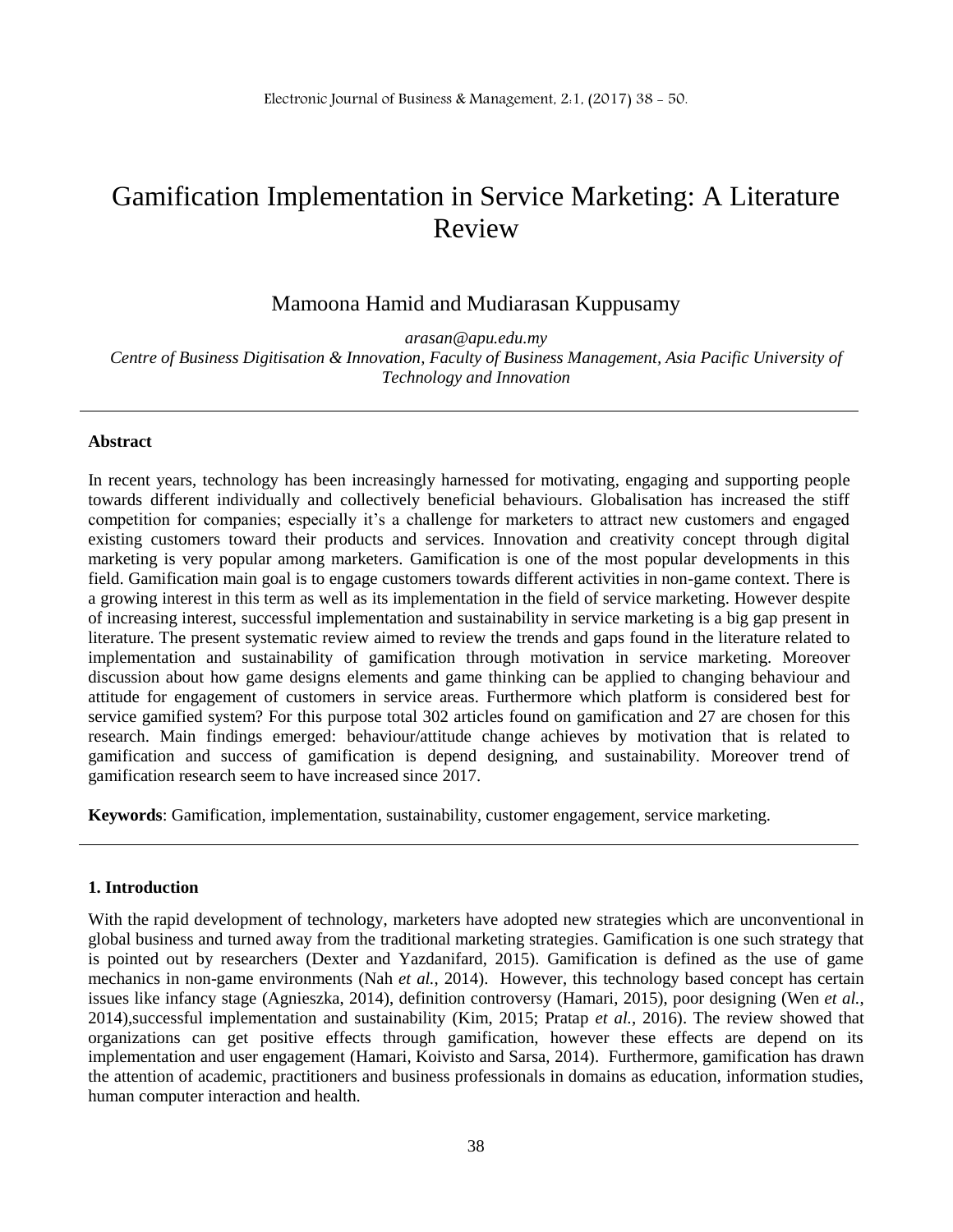# Gamification Implementation in Service Marketing: A Literature Review

Mamoona Hamid and Mudiarasan Kuppusamy

*arasan@apu.edu.my Centre of Business Digitisation & Innovation, Faculty of Business Management, Asia Pacific University of Technology and Innovation*

## **Abstract**

In recent years, technology has been increasingly harnessed for motivating, engaging and supporting people towards different individually and collectively beneficial behaviours. Globalisation has increased the stiff competition for companies; especially it's a challenge for marketers to attract new customers and engaged existing customers toward their products and services. Innovation and creativity concept through digital marketing is very popular among marketers. Gamification is one of the most popular developments in this field. Gamification main goal is to engage customers towards different activities in non-game context. There is a growing interest in this term as well as its implementation in the field of service marketing. However despite of increasing interest, successful implementation and sustainability in service marketing is a big gap present in literature. The present systematic review aimed to review the trends and gaps found in the literature related to implementation and sustainability of gamification through motivation in service marketing. Moreover discussion about how game designs elements and game thinking can be applied to changing behaviour and attitude for engagement of customers in service areas. Furthermore which platform is considered best for service gamified system? For this purpose total 302 articles found on gamification and 27 are chosen for this research. Main findings emerged: behaviour/attitude change achieves by motivation that is related to gamification and success of gamification is depend designing, and sustainability. Moreover trend of gamification research seem to have increased since 2017.

**Keywords**: Gamification, implementation, sustainability, customer engagement, service marketing.

#### **1. Introduction**

With the rapid development of technology, marketers have adopted new strategies which are unconventional in global business and turned away from the traditional marketing strategies. Gamification is one such strategy that is pointed out by researchers (Dexter and Yazdanifard, 2015). Gamification is defined as the use of game mechanics in non-game environments (Nah *et al.*, 2014). However, this technology based concept has certain issues like infancy stage (Agnieszka, 2014), definition controversy (Hamari, 2015), poor designing (Wen *et al.*, 2014),successful implementation and sustainability (Kim, 2015; Pratap *et al.*, 2016). The review showed that organizations can get positive effects through gamification, however these effects are depend on its implementation and user engagement (Hamari, Koivisto and Sarsa, 2014). Furthermore, gamification has drawn the attention of academic, practitioners and business professionals in domains as education, information studies, human computer interaction and health.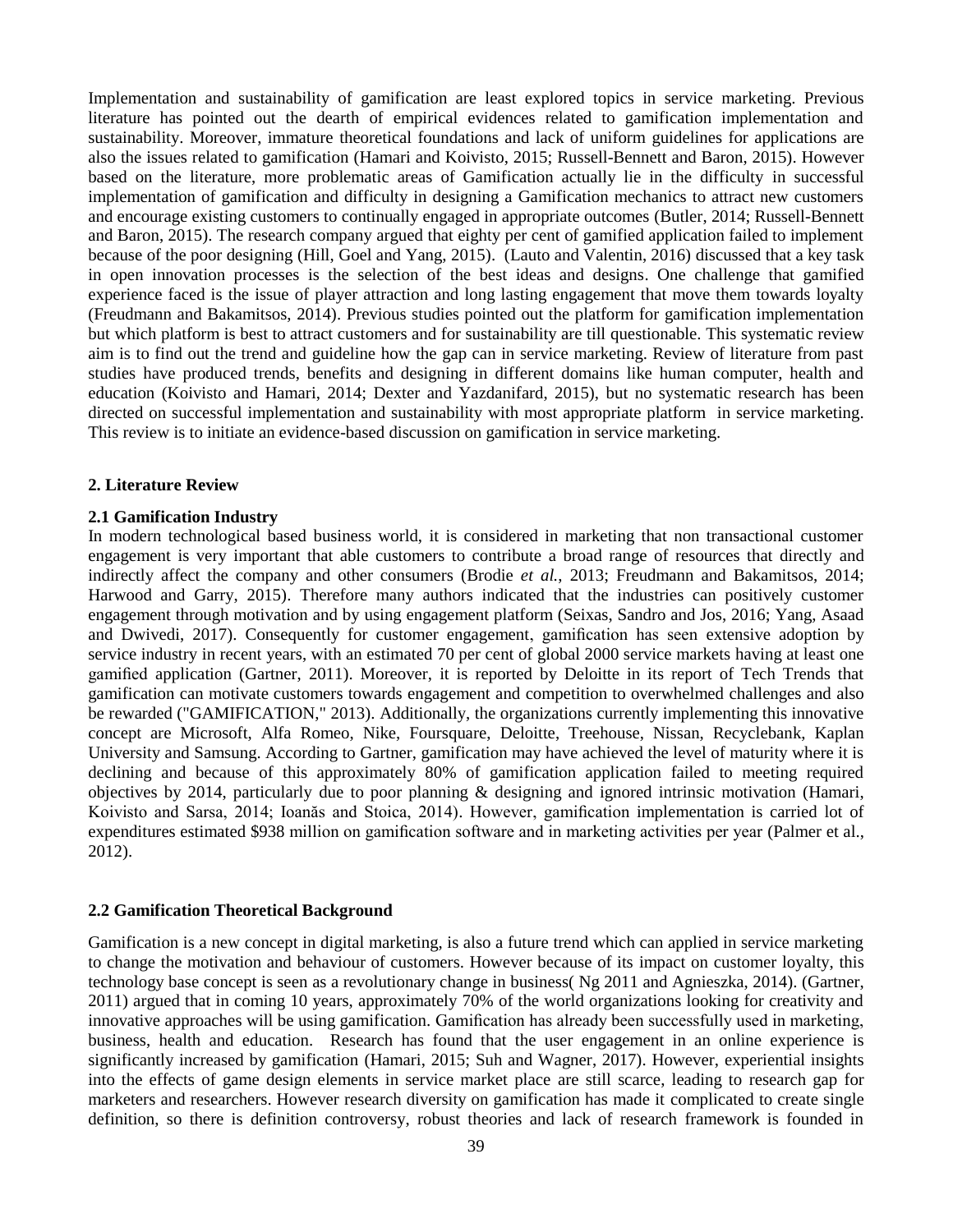Implementation and sustainability of gamification are least explored topics in service marketing. Previous literature has pointed out the dearth of empirical evidences related to gamification implementation and sustainability. Moreover, immature theoretical foundations and lack of uniform guidelines for applications are also the issues related to gamification (Hamari and Koivisto, 2015; Russell-Bennett and Baron, 2015). However based on the literature, more problematic areas of Gamification actually lie in the difficulty in successful implementation of gamification and difficulty in designing a Gamification mechanics to attract new customers and encourage existing customers to continually engaged in appropriate outcomes (Butler, 2014; Russell-Bennett and Baron, 2015). The research company argued that eighty per cent of gamified application failed to implement because of the poor designing (Hill, Goel and Yang, 2015). (Lauto and Valentin, 2016) discussed that a key task in open innovation processes is the selection of the best ideas and designs. One challenge that gamified experience faced is the issue of player attraction and long lasting engagement that move them towards loyalty (Freudmann and Bakamitsos, 2014). Previous studies pointed out the platform for gamification implementation but which platform is best to attract customers and for sustainability are till questionable. This systematic review aim is to find out the trend and guideline how the gap can in service marketing. Review of literature from past studies have produced trends, benefits and designing in different domains like human computer, health and education (Koivisto and Hamari, 2014; Dexter and Yazdanifard, 2015), but no systematic research has been directed on successful implementation and sustainability with most appropriate platform in service marketing. This review is to initiate an evidence-based discussion on gamification in service marketing.

## **2. Literature Review**

## **2.1 Gamification Industry**

In modern technological based business world, it is considered in marketing that non transactional customer engagement is very important that able customers to contribute a broad range of resources that directly and indirectly affect the company and other consumers (Brodie *et al.*, 2013; Freudmann and Bakamitsos, 2014; Harwood and Garry, 2015). Therefore many authors indicated that the industries can positively customer engagement through motivation and by using engagement platform (Seixas, Sandro and Jos, 2016; Yang, Asaad and Dwivedi, 2017). Consequently for customer engagement, gamification has seen extensive adoption by service industry in recent years, with an estimated 70 per cent of global 2000 service markets having at least one gamified application (Gartner, 2011). Moreover, it is reported by Deloitte in its report of Tech Trends that gamification can motivate customers towards engagement and competition to overwhelmed challenges and also be rewarded ("GAMIFICATION," 2013). Additionally, the organizations currently implementing this innovative concept are Microsoft, Alfa Romeo, Nike, Foursquare, Deloitte, Treehouse, Nissan, Recyclebank, Kaplan University and Samsung. According to Gartner, gamification may have achieved the level of maturity where it is declining and because of this approximately 80% of gamification application failed to meeting required objectives by 2014, particularly due to poor planning & designing and ignored intrinsic motivation (Hamari, Koivisto and Sarsa, 2014; Ioanăs and Stoica, 2014). However, gamification implementation is carried lot of expenditures estimated \$938 million on gamification software and in marketing activities per year (Palmer et al., 2012).

## **2.2 Gamification Theoretical Background**

Gamification is a new concept in digital marketing, is also a future trend which can applied in service marketing to change the motivation and behaviour of customers. However because of its impact on customer loyalty, this technology base concept is seen as a revolutionary change in business( Ng 2011 and Agnieszka, 2014). (Gartner, 2011) argued that in coming 10 years, approximately 70% of the world organizations looking for creativity and innovative approaches will be using gamification. Gamification has already been successfully used in marketing, business, health and education. Research has found that the user engagement in an online experience is significantly increased by gamification (Hamari, 2015; Suh and Wagner, 2017). However, experiential insights into the effects of game design elements in service market place are still scarce, leading to research gap for marketers and researchers. However research diversity on gamification has made it complicated to create single definition, so there is definition controversy, robust theories and lack of research framework is founded in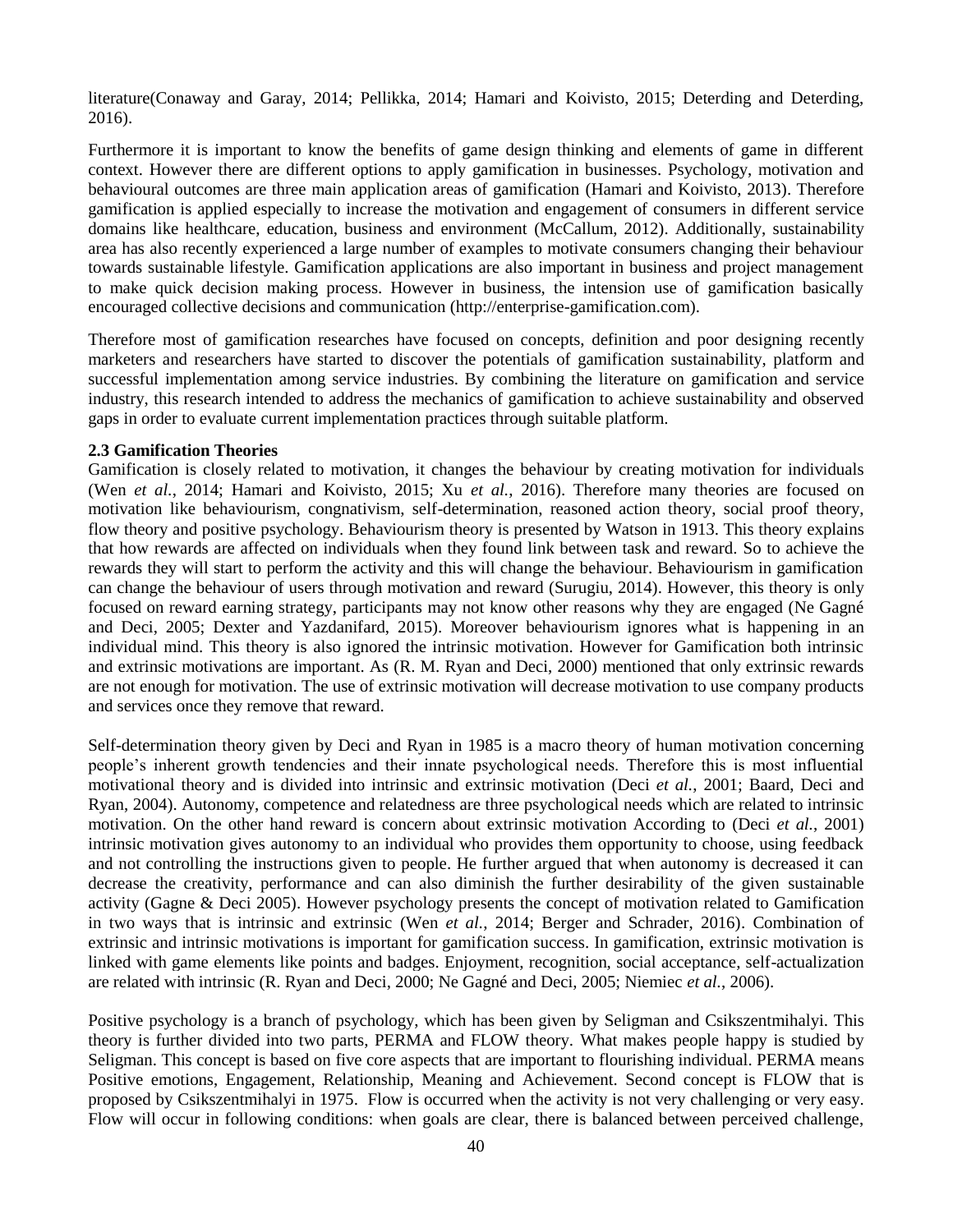literature(Conaway and Garay, 2014; Pellikka, 2014; Hamari and Koivisto, 2015; Deterding and Deterding, 2016).

Furthermore it is important to know the benefits of game design thinking and elements of game in different context. However there are different options to apply gamification in businesses. Psychology, motivation and behavioural outcomes are three main application areas of gamification (Hamari and Koivisto, 2013). Therefore gamification is applied especially to increase the motivation and engagement of consumers in different service domains like healthcare, education, business and environment (McCallum, 2012). Additionally, sustainability area has also recently experienced a large number of examples to motivate consumers changing their behaviour towards sustainable lifestyle. Gamification applications are also important in business and project management to make quick decision making process. However in business, the intension use of gamification basically encouraged collective decisions and communication (http://enterprise-gamification.com).

Therefore most of gamification researches have focused on concepts, definition and poor designing recently marketers and researchers have started to discover the potentials of gamification sustainability, platform and successful implementation among service industries. By combining the literature on gamification and service industry, this research intended to address the mechanics of gamification to achieve sustainability and observed gaps in order to evaluate current implementation practices through suitable platform.

## **2.3 Gamification Theories**

Gamification is closely related to motivation, it changes the behaviour by creating motivation for individuals (Wen *et al.*, 2014; Hamari and Koivisto, 2015; Xu *et al.*, 2016). Therefore many theories are focused on motivation like behaviourism, congnativism, self-determination, reasoned action theory, social proof theory, flow theory and positive psychology. Behaviourism theory is presented by Watson in 1913. This theory explains that how rewards are affected on individuals when they found link between task and reward. So to achieve the rewards they will start to perform the activity and this will change the behaviour. Behaviourism in gamification can change the behaviour of users through motivation and reward (Surugiu, 2014). However, this theory is only focused on reward earning strategy, participants may not know other reasons why they are engaged (Ne Gagné and Deci, 2005; Dexter and Yazdanifard, 2015). Moreover behaviourism ignores what is happening in an individual mind. This theory is also ignored the intrinsic motivation. However for Gamification both intrinsic and extrinsic motivations are important. As (R. M. Ryan and Deci, 2000) mentioned that only extrinsic rewards are not enough for motivation. The use of extrinsic motivation will decrease motivation to use company products and services once they remove that reward.

Self-determination theory given by Deci and Ryan in 1985 is a macro theory of human motivation concerning people"s inherent growth tendencies and their innate psychological needs. Therefore this is most influential motivational theory and is divided into intrinsic and extrinsic motivation (Deci *et al.*, 2001; Baard, Deci and Ryan, 2004). Autonomy, competence and relatedness are three psychological needs which are related to intrinsic motivation. On the other hand reward is concern about extrinsic motivation According to (Deci *et al.*, 2001) intrinsic motivation gives autonomy to an individual who provides them opportunity to choose, using feedback and not controlling the instructions given to people. He further argued that when autonomy is decreased it can decrease the creativity, performance and can also diminish the further desirability of the given sustainable activity (Gagne & Deci 2005). However psychology presents the concept of motivation related to Gamification in two ways that is intrinsic and extrinsic (Wen *et al.*, 2014; Berger and Schrader, 2016). Combination of extrinsic and intrinsic motivations is important for gamification success. In gamification, extrinsic motivation is linked with game elements like points and badges. Enjoyment, recognition, social acceptance, self-actualization are related with intrinsic (R. Ryan and Deci, 2000; Ne Gagné and Deci, 2005; Niemiec *et al.*, 2006).

Positive psychology is a branch of psychology, which has been given by Seligman and Csikszentmihalyi. This theory is further divided into two parts, PERMA and FLOW theory. What makes people happy is studied by Seligman. This concept is based on five core aspects that are important to flourishing individual. PERMA means Positive emotions, Engagement, Relationship, Meaning and Achievement. Second concept is FLOW that is proposed by Csikszentmihalyi in 1975. Flow is occurred when the activity is not very challenging or very easy. Flow will occur in following conditions: when goals are clear, there is balanced between perceived challenge,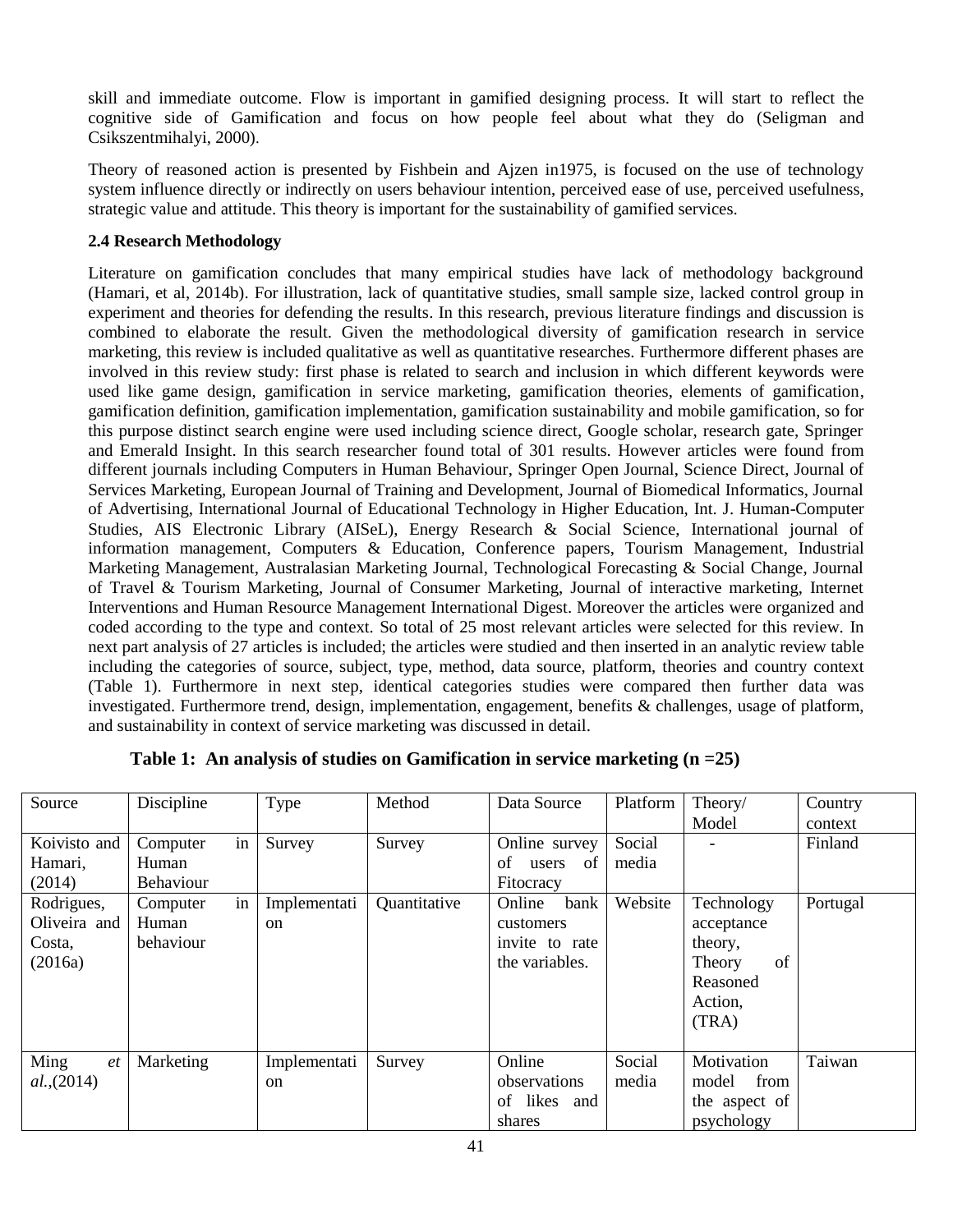skill and immediate outcome. Flow is important in gamified designing process. It will start to reflect the cognitive side of Gamification and focus on how people feel about what they do (Seligman and Csikszentmihalyi, 2000).

Theory of reasoned action is presented by Fishbein and Ajzen in1975, is focused on the use of technology system influence directly or indirectly on users behaviour intention, perceived ease of use, perceived usefulness, strategic value and attitude. This theory is important for the sustainability of gamified services.

# **2.4 Research Methodology**

Literature on gamification concludes that many empirical studies have lack of methodology background (Hamari, et al, 2014b). For illustration, lack of quantitative studies, small sample size, lacked control group in experiment and theories for defending the results. In this research, previous literature findings and discussion is combined to elaborate the result. Given the methodological diversity of gamification research in service marketing, this review is included qualitative as well as quantitative researches. Furthermore different phases are involved in this review study: first phase is related to search and inclusion in which different keywords were used like game design, gamification in service marketing, gamification theories, elements of gamification, gamification definition, gamification implementation, gamification sustainability and mobile gamification, so for this purpose distinct search engine were used including science direct, Google scholar, research gate, Springer and Emerald Insight. In this search researcher found total of 301 results. However articles were found from different journals including Computers in Human Behaviour, Springer Open Journal, Science Direct, Journal of Services Marketing, European Journal of Training and Development, Journal of Biomedical Informatics, Journal of Advertising, International Journal of Educational Technology in Higher Education, Int. J. Human-Computer Studies, AIS Electronic Library (AISeL), Energy Research & Social Science, International journal of information management, Computers & Education, Conference papers, Tourism Management, Industrial Marketing Management, Australasian Marketing Journal, Technological Forecasting & Social Change, Journal of Travel & Tourism Marketing, Journal of Consumer Marketing, Journal of interactive marketing, Internet Interventions and Human Resource Management International Digest. Moreover the articles were organized and coded according to the type and context. So total of 25 most relevant articles were selected for this review. In next part analysis of 27 articles is included; the articles were studied and then inserted in an analytic review table including the categories of source, subject, type, method, data source, platform, theories and country context (Table 1). Furthermore in next step, identical categories studies were compared then further data was investigated. Furthermore trend, design, implementation, engagement, benefits & challenges, usage of platform, and sustainability in context of service marketing was discussed in detail.

| Source       | Discipline       | Type          | Method       | Data Source       | Platform | Theory/       | Country  |
|--------------|------------------|---------------|--------------|-------------------|----------|---------------|----------|
|              |                  |               |              |                   |          | Model         | context  |
| Koivisto and | in<br>Computer   | Survey        | Survey       | Online survey     | Social   |               | Finland  |
| Hamari,      | Human            |               |              | of<br>of<br>users | media    |               |          |
| (2014)       | <b>Behaviour</b> |               |              | Fitocracy         |          |               |          |
| Rodrigues,   | in<br>Computer   | Implementati  | Quantitative | Online<br>bank    | Website  | Technology    | Portugal |
| Oliveira and | Human            | <sub>on</sub> |              | customers         |          | acceptance    |          |
| Costa.       | behaviour        |               |              | invite to rate    |          | theory,       |          |
| (2016a)      |                  |               |              | the variables.    |          | of<br>Theory  |          |
|              |                  |               |              |                   |          | Reasoned      |          |
|              |                  |               |              |                   |          | Action,       |          |
|              |                  |               |              |                   |          | (TRA)         |          |
|              |                  |               |              |                   |          |               |          |
| Ming<br>et   | Marketing        | Implementati  | Survey       | Online            | Social   | Motivation    | Taiwan   |
| al.,(2014)   |                  | <sub>on</sub> |              | observations      | media    | from<br>model |          |
|              |                  |               |              | of likes and      |          | the aspect of |          |
|              |                  |               |              | shares            |          | psychology    |          |

| Table 1: An analysis of studies on Gamification in service marketing $(n = 25)$ |
|---------------------------------------------------------------------------------|
|---------------------------------------------------------------------------------|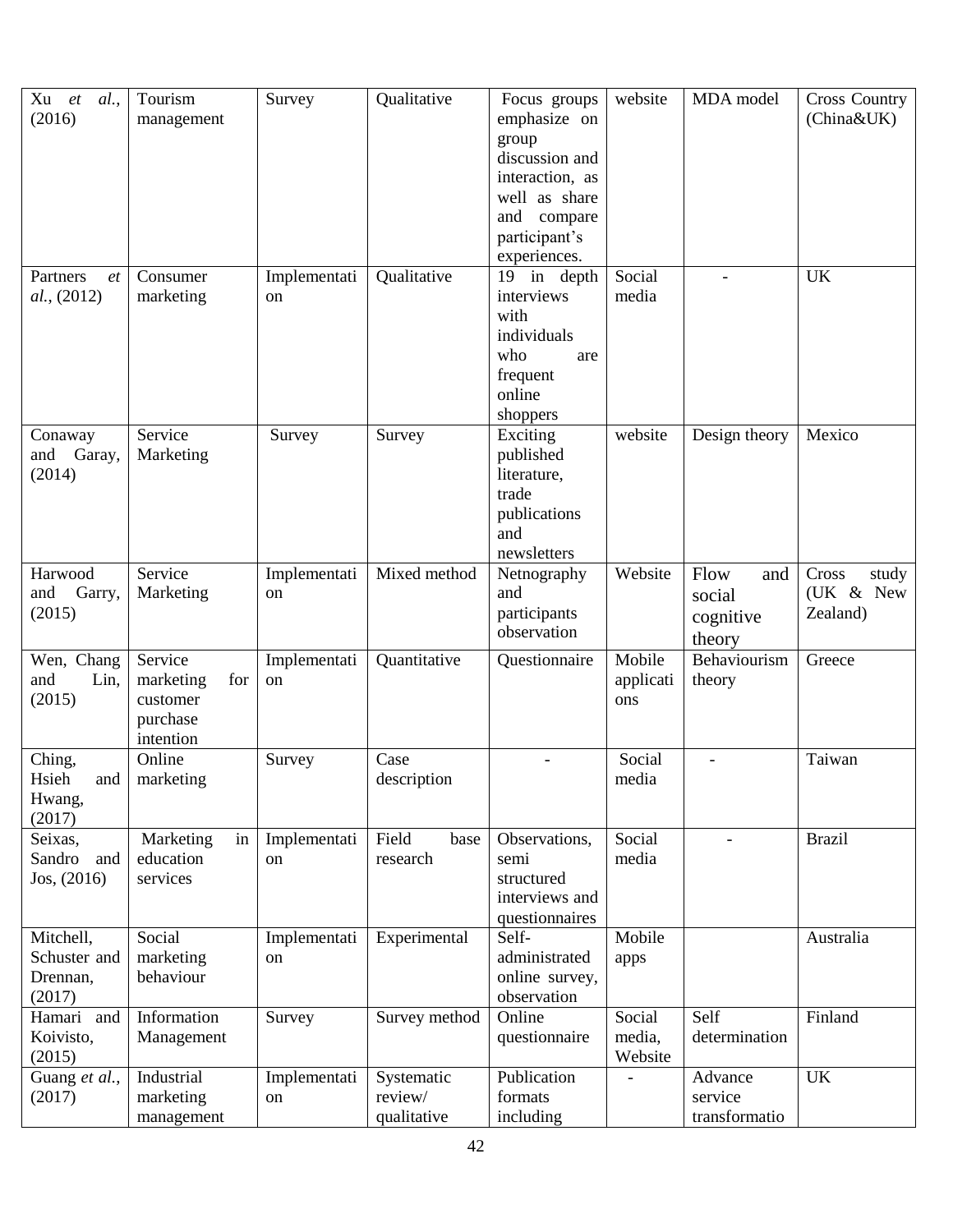| Xu<br>et<br>al.<br>(2016)                       | Tourism<br>management                                            | Survey             | Qualitative                          | Focus groups<br>emphasize on<br>group<br>discussion and<br>interaction, as<br>well as share<br>compare<br>and<br>participant's<br>experiences. | website                     | MDA model                                    | <b>Cross Country</b><br>(China&UK)      |
|-------------------------------------------------|------------------------------------------------------------------|--------------------|--------------------------------------|------------------------------------------------------------------------------------------------------------------------------------------------|-----------------------------|----------------------------------------------|-----------------------------------------|
| Partners<br>et<br>al., (2012)                   | Consumer<br>marketing                                            | Implementati<br>on | Qualitative                          | 19 in depth<br>interviews<br>with<br>individuals<br>who<br>are<br>frequent<br>online<br>shoppers                                               | Social<br>media             |                                              | <b>UK</b>                               |
| Conaway<br>and Garay,<br>(2014)                 | Service<br>Marketing                                             | Survey             | Survey                               | Exciting<br>published<br>literature,<br>trade<br>publications<br>and<br>newsletters                                                            | website                     | Design theory                                | Mexico                                  |
| Harwood<br>and<br>Garry,<br>(2015)              | Service<br>Marketing                                             | Implementati<br>on | Mixed method                         | Netnography<br>and<br>participants<br>observation                                                                                              | Website                     | Flow<br>and<br>social<br>cognitive<br>theory | Cross<br>study<br>(UK & New<br>Zealand) |
| Wen, Chang<br>Lin,<br>and<br>(2015)             | Service<br>marketing<br>for<br>customer<br>purchase<br>intention | Implementati<br>on | Quantitative                         | Questionnaire                                                                                                                                  | Mobile<br>applicati<br>ons  | Behaviourism<br>theory                       | Greece                                  |
| Ching,<br>Hsieh<br>and  <br>Hwang,<br>(2017)    | Online<br>marketing                                              | Survey             | Case<br>description                  |                                                                                                                                                | Social<br>media             | $\overline{\phantom{a}}$                     | Taiwan                                  |
| Seixas,<br>Sandro<br>and<br>Jos, (2016)         | in<br>Marketing<br>education<br>services                         | Implementati<br>on | Field<br>base<br>research            | Observations,<br>semi<br>structured<br>interviews and<br>questionnaires                                                                        | Social<br>media             |                                              | <b>Brazil</b>                           |
| Mitchell,<br>Schuster and<br>Drennan,<br>(2017) | Social<br>marketing<br>behaviour                                 | Implementati<br>on | Experimental                         | Self-<br>administrated<br>online survey,<br>observation                                                                                        | Mobile<br>apps              |                                              | Australia                               |
| Hamari and<br>Koivisto,<br>(2015)               | Information<br>Management                                        | Survey             | Survey method                        | Online<br>questionnaire                                                                                                                        | Social<br>media,<br>Website | Self<br>determination                        | Finland                                 |
| Guang et al.,<br>(2017)                         | Industrial<br>marketing<br>management                            | Implementati<br>on | Systematic<br>review/<br>qualitative | Publication<br>formats<br>including                                                                                                            |                             | Advance<br>service<br>transformatio          | <b>UK</b>                               |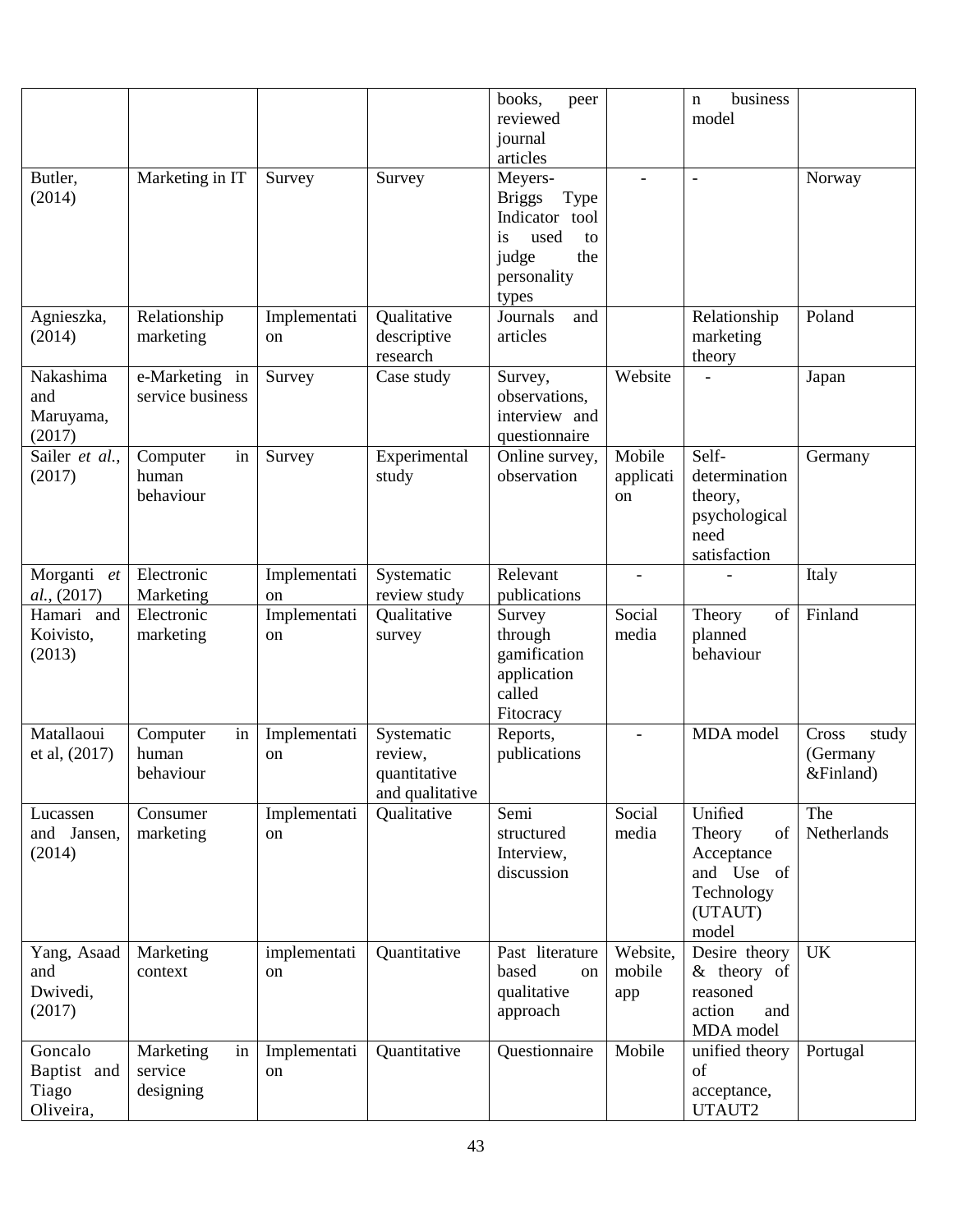|                |                  |              |                 | books,<br>peer          |                          | business<br>$\mathbf n$ |                |
|----------------|------------------|--------------|-----------------|-------------------------|--------------------------|-------------------------|----------------|
|                |                  |              |                 | reviewed                |                          | model                   |                |
|                |                  |              |                 | journal                 |                          |                         |                |
|                |                  |              |                 | articles                |                          |                         |                |
|                |                  |              |                 |                         |                          |                         |                |
| Butler,        | Marketing in IT  | Survey       | Survey          | Meyers-                 |                          | $\overline{a}$          | Norway         |
| (2014)         |                  |              |                 | <b>Briggs</b><br>Type   |                          |                         |                |
|                |                  |              |                 | Indicator tool          |                          |                         |                |
|                |                  |              |                 | used<br><i>is</i><br>to |                          |                         |                |
|                |                  |              |                 | judge<br>the            |                          |                         |                |
|                |                  |              |                 | personality             |                          |                         |                |
|                |                  |              |                 | types                   |                          |                         |                |
| Agnieszka,     | Relationship     | Implementati | Qualitative     | Journals<br>and         |                          | Relationship            | Poland         |
| (2014)         | marketing        | on           | descriptive     | articles                |                          | marketing               |                |
|                |                  |              | research        |                         |                          | theory                  |                |
| Nakashima      | e-Marketing in   | Survey       | Case study      | Survey,                 | Website                  |                         | Japan          |
| and            | service business |              |                 | observations,           |                          |                         |                |
| Maruyama,      |                  |              |                 | interview and           |                          |                         |                |
| (2017)         |                  |              |                 | questionnaire           |                          |                         |                |
| Sailer et al., | in<br>Computer   | Survey       | Experimental    | Online survey,          | Mobile                   | Self-                   | Germany        |
| (2017)         | human            |              | study           | observation             | applicati                | determination           |                |
|                | behaviour        |              |                 |                         | on                       | theory,                 |                |
|                |                  |              |                 |                         |                          | psychological           |                |
|                |                  |              |                 |                         |                          | need                    |                |
|                |                  |              |                 |                         |                          | satisfaction            |                |
| Morganti<br>et | Electronic       | Implementati | Systematic      | Relevant                | $\overline{\phantom{a}}$ |                         | Italy          |
| al., (2017)    | Marketing        | on           | review study    | publications            |                          |                         |                |
| Hamari and     | Electronic       | Implementati | Qualitative     | Survey                  | Social                   | of<br>Theory            | Finland        |
| Koivisto,      |                  |              |                 | through                 | media                    |                         |                |
|                |                  |              |                 |                         |                          |                         |                |
|                | marketing        | on           | survey          |                         |                          | planned                 |                |
| (2013)         |                  |              |                 | gamification            |                          | behaviour               |                |
|                |                  |              |                 | application             |                          |                         |                |
|                |                  |              |                 | called                  |                          |                         |                |
|                |                  |              |                 | Fitocracy               |                          |                         |                |
| Matallaoui     | in<br>Computer   | Implementati | Systematic      | Reports,                | $\overline{a}$           | MDA model               | Cross<br>study |
| et al, (2017)  | human            | on           | review,         | publications            |                          |                         | (Germany       |
|                | behaviour        |              | quantitative    |                         |                          |                         | &Finland)      |
|                |                  |              | and qualitative |                         |                          |                         |                |
| Lucassen       | Consumer         | Implementati | Qualitative     | Semi                    | Social                   | Unified                 | The            |
| and Jansen,    | marketing        | on           |                 | structured              | media                    | Theory<br>of            | Netherlands    |
| (2014)         |                  |              |                 | Interview,              |                          | Acceptance              |                |
|                |                  |              |                 | discussion              |                          | and Use of              |                |
|                |                  |              |                 |                         |                          | Technology              |                |
|                |                  |              |                 |                         |                          | (UTAUT)                 |                |
|                |                  |              |                 |                         |                          | model                   |                |
| Yang, Asaad    | Marketing        | implementati | Quantitative    | Past literature         | Website,                 | Desire theory           | <b>UK</b>      |
| and            | context          | on           |                 | based<br>on             | mobile                   | $&$ theory of           |                |
| Dwivedi,       |                  |              |                 | qualitative             | app                      | reasoned                |                |
| (2017)         |                  |              |                 | approach                |                          | action<br>and           |                |
|                |                  |              |                 |                         |                          | MDA model               |                |
| Goncalo        | Marketing<br>in  | Implementati | Quantitative    | Questionnaire           | Mobile                   | unified theory          | Portugal       |
| Baptist and    | service          | on           |                 |                         |                          | of                      |                |
| Tiago          | designing        |              |                 |                         |                          | acceptance,             |                |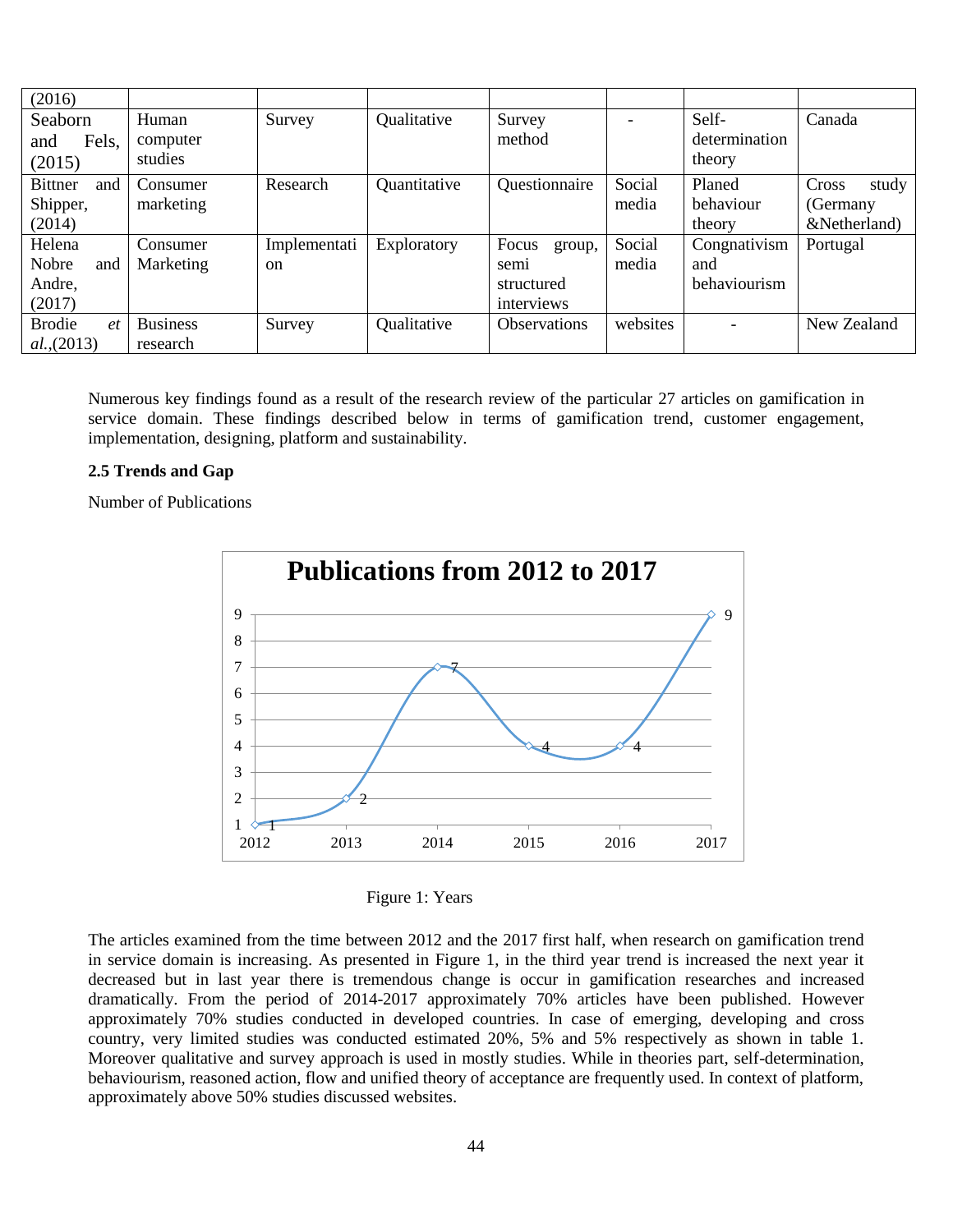| (2016)                 |                   |               |              |                     |          |                        |                |
|------------------------|-------------------|---------------|--------------|---------------------|----------|------------------------|----------------|
| Seaborn                | Human<br>computer | Survey        | Qualitative  | Survey<br>method    |          | Self-<br>determination | Canada         |
| Fels,<br>and<br>(2015) | studies           |               |              |                     |          | theory                 |                |
| <b>Bittner</b><br>and  | Consumer          | Research      | Quantitative | Questionnaire       | Social   | Planed                 | Cross<br>study |
| Shipper,               | marketing         |               |              |                     | media    | behaviour              | (Germany       |
| (2014)                 |                   |               |              |                     |          | theory                 | &Netherland)   |
| Helena                 | Consumer          | Implementati  | Exploratory  | Focus<br>group,     | Social   | Congnativism           | Portugal       |
| Nobre<br>and           | Marketing         | <sub>on</sub> |              | semi                | media    | and                    |                |
| Andre,                 |                   |               |              | structured          |          | behaviourism           |                |
| (2017)                 |                   |               |              | interviews          |          |                        |                |
| <b>Brodie</b><br>et    | <b>Business</b>   | Survey        | Qualitative  | <b>Observations</b> | websites |                        | New Zealand    |
| al.,(2013)             | research          |               |              |                     |          |                        |                |

Numerous key findings found as a result of the research review of the particular 27 articles on gamification in service domain. These findings described below in terms of gamification trend, customer engagement, implementation, designing, platform and sustainability.

# **2.5 Trends and Gap**

Number of Publications



|  | Figure 1: Years |
|--|-----------------|
|--|-----------------|

The articles examined from the time between 2012 and the 2017 first half, when research on gamification trend in service domain is increasing. As presented in Figure 1, in the third year trend is increased the next year it decreased but in last year there is tremendous change is occur in gamification researches and increased dramatically. From the period of 2014-2017 approximately 70% articles have been published. However approximately 70% studies conducted in developed countries. In case of emerging, developing and cross country, very limited studies was conducted estimated 20%, 5% and 5% respectively as shown in table 1. Moreover qualitative and survey approach is used in mostly studies. While in theories part, self-determination, behaviourism, reasoned action, flow and unified theory of acceptance are frequently used. In context of platform, approximately above 50% studies discussed websites.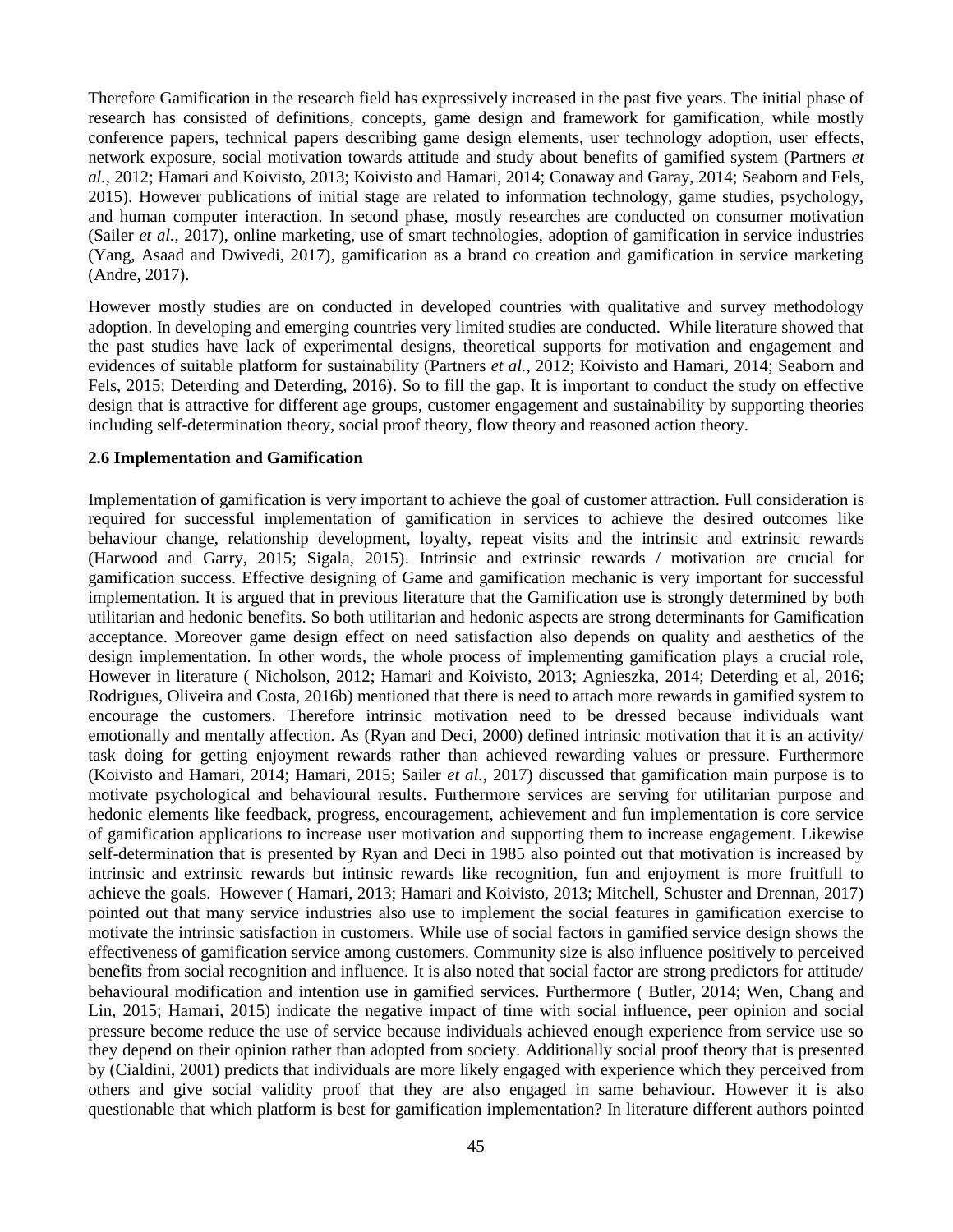Therefore Gamification in the research field has expressively increased in the past five years. The initial phase of research has consisted of definitions, concepts, game design and framework for gamification, while mostly conference papers, technical papers describing game design elements, user technology adoption, user effects, network exposure, social motivation towards attitude and study about benefits of gamified system (Partners *et al.*, 2012; Hamari and Koivisto, 2013; Koivisto and Hamari, 2014; Conaway and Garay, 2014; Seaborn and Fels, 2015). However publications of initial stage are related to information technology, game studies, psychology, and human computer interaction. In second phase, mostly researches are conducted on consumer motivation (Sailer *et al.*, 2017), online marketing, use of smart technologies, adoption of gamification in service industries (Yang, Asaad and Dwivedi, 2017), gamification as a brand co creation and gamification in service marketing (Andre, 2017).

However mostly studies are on conducted in developed countries with qualitative and survey methodology adoption. In developing and emerging countries very limited studies are conducted. While literature showed that the past studies have lack of experimental designs, theoretical supports for motivation and engagement and evidences of suitable platform for sustainability (Partners *et al.*, 2012; Koivisto and Hamari, 2014; Seaborn and Fels, 2015; Deterding and Deterding, 2016). So to fill the gap, It is important to conduct the study on effective design that is attractive for different age groups, customer engagement and sustainability by supporting theories including self-determination theory, social proof theory, flow theory and reasoned action theory.

#### **2.6 Implementation and Gamification**

Implementation of gamification is very important to achieve the goal of customer attraction. Full consideration is required for successful implementation of gamification in services to achieve the desired outcomes like behaviour change, relationship development, loyalty, repeat visits and the intrinsic and extrinsic rewards (Harwood and Garry, 2015; Sigala, 2015). Intrinsic and extrinsic rewards / motivation are crucial for gamification success. Effective designing of Game and gamification mechanic is very important for successful implementation. It is argued that in previous literature that the Gamification use is strongly determined by both utilitarian and hedonic benefits. So both utilitarian and hedonic aspects are strong determinants for Gamification acceptance. Moreover game design effect on need satisfaction also depends on quality and aesthetics of the design implementation. In other words, the whole process of implementing gamification plays a crucial role, However in literature ( Nicholson, 2012; Hamari and Koivisto, 2013; Agnieszka, 2014; Deterding et al, 2016; Rodrigues, Oliveira and Costa, 2016b) mentioned that there is need to attach more rewards in gamified system to encourage the customers. Therefore intrinsic motivation need to be dressed because individuals want emotionally and mentally affection. As (Ryan and Deci, 2000) defined intrinsic motivation that it is an activity/ task doing for getting enjoyment rewards rather than achieved rewarding values or pressure. Furthermore (Koivisto and Hamari, 2014; Hamari, 2015; Sailer *et al.*, 2017) discussed that gamification main purpose is to motivate psychological and behavioural results. Furthermore services are serving for utilitarian purpose and hedonic elements like feedback, progress, encouragement, achievement and fun implementation is core service of gamification applications to increase user motivation and supporting them to increase engagement. Likewise self-determination that is presented by Ryan and Deci in 1985 also pointed out that motivation is increased by intrinsic and extrinsic rewards but intinsic rewards like recognition, fun and enjoyment is more fruitfull to achieve the goals. However ( Hamari, 2013; Hamari and Koivisto, 2013; Mitchell, Schuster and Drennan, 2017) pointed out that many service industries also use to implement the social features in gamification exercise to motivate the intrinsic satisfaction in customers. While use of social factors in gamified service design shows the effectiveness of gamification service among customers. Community size is also influence positively to perceived benefits from social recognition and influence. It is also noted that social factor are strong predictors for attitude/ behavioural modification and intention use in gamified services. Furthermore ( Butler, 2014; Wen, Chang and Lin, 2015; Hamari, 2015) indicate the negative impact of time with social influence, peer opinion and social pressure become reduce the use of service because individuals achieved enough experience from service use so they depend on their opinion rather than adopted from society. Additionally social proof theory that is presented by (Cialdini, 2001) predicts that individuals are more likely engaged with experience which they perceived from others and give social validity proof that they are also engaged in same behaviour. However it is also questionable that which platform is best for gamification implementation? In literature different authors pointed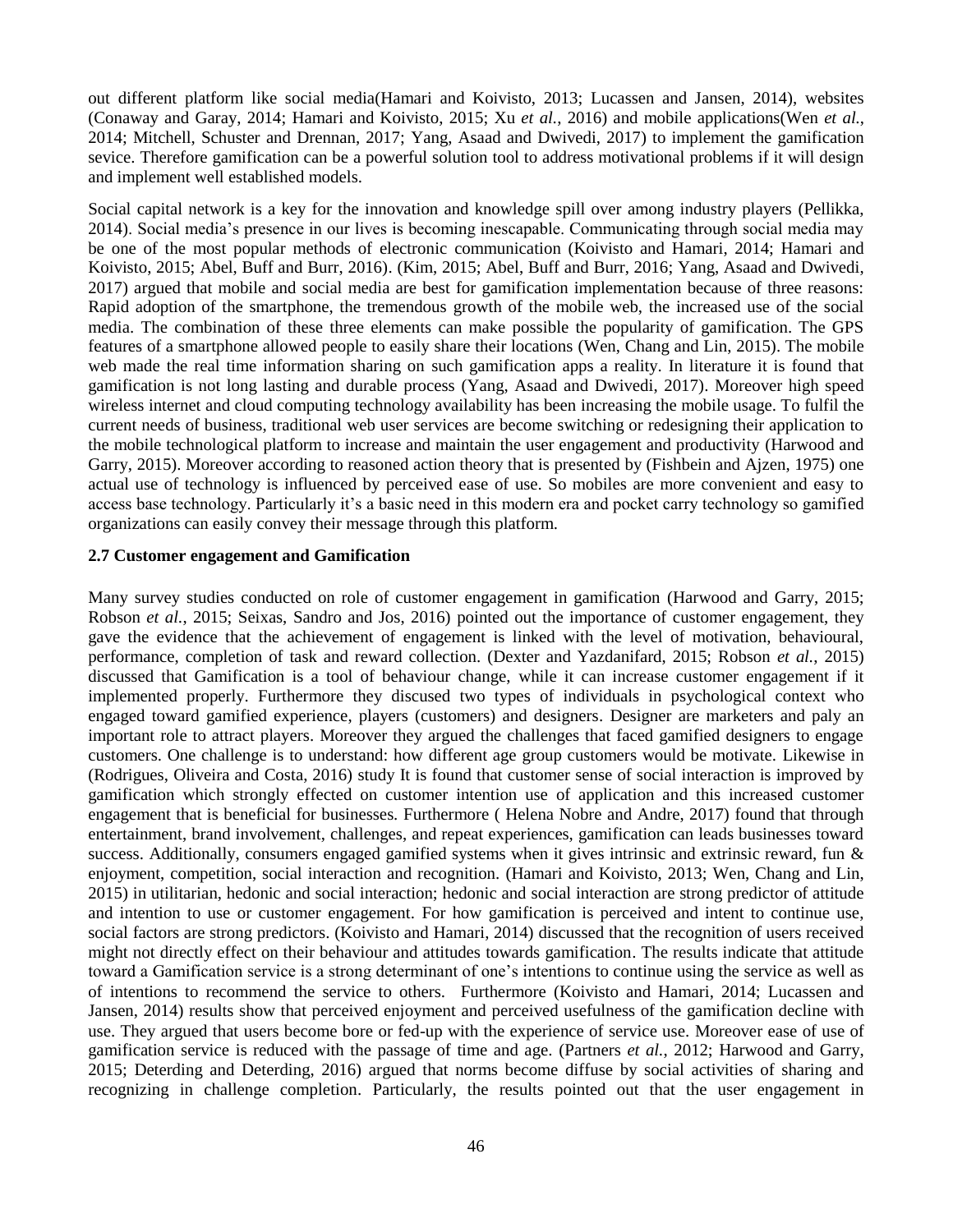out different platform like social media(Hamari and Koivisto, 2013; Lucassen and Jansen, 2014), websites (Conaway and Garay, 2014; Hamari and Koivisto, 2015; Xu *et al.*, 2016) and mobile applications(Wen *et al.*, 2014; Mitchell, Schuster and Drennan, 2017; Yang, Asaad and Dwivedi, 2017) to implement the gamification sevice. Therefore gamification can be a powerful solution tool to address motivational problems if it will design and implement well established models.

Social capital network is a key for the innovation and knowledge spill over among industry players (Pellikka, 2014). Social media"s presence in our lives is becoming inescapable. Communicating through social media may be one of the most popular methods of electronic communication (Koivisto and Hamari, 2014; Hamari and Koivisto, 2015; Abel, Buff and Burr, 2016). (Kim, 2015; Abel, Buff and Burr, 2016; Yang, Asaad and Dwivedi, 2017) argued that mobile and social media are best for gamification implementation because of three reasons: Rapid adoption of the smartphone, the tremendous growth of the mobile web, the increased use of the social media. The combination of these three elements can make possible the popularity of gamification. The GPS features of a smartphone allowed people to easily share their locations (Wen, Chang and Lin, 2015). The mobile web made the real time information sharing on such gamification apps a reality. In literature it is found that gamification is not long lasting and durable process (Yang, Asaad and Dwivedi, 2017). Moreover high speed wireless internet and cloud computing technology availability has been increasing the mobile usage. To fulfil the current needs of business, traditional web user services are become switching or redesigning their application to the mobile technological platform to increase and maintain the user engagement and productivity (Harwood and Garry, 2015). Moreover according to reasoned action theory that is presented by (Fishbein and Ajzen, 1975) one actual use of technology is influenced by perceived ease of use. So mobiles are more convenient and easy to access base technology. Particularly it's a basic need in this modern era and pocket carry technology so gamified organizations can easily convey their message through this platform.

#### **2.7 Customer engagement and Gamification**

Many survey studies conducted on role of customer engagement in gamification (Harwood and Garry, 2015; Robson *et al.*, 2015; Seixas, Sandro and Jos, 2016) pointed out the importance of customer engagement, they gave the evidence that the achievement of engagement is linked with the level of motivation, behavioural, performance, completion of task and reward collection. (Dexter and Yazdanifard, 2015; Robson *et al.*, 2015) discussed that Gamification is a tool of behaviour change, while it can increase customer engagement if it implemented properly. Furthermore they discused two types of individuals in psychological context who engaged toward gamified experience, players (customers) and designers. Designer are marketers and paly an important role to attract players. Moreover they argued the challenges that faced gamified designers to engage customers. One challenge is to understand: how different age group customers would be motivate. Likewise in (Rodrigues, Oliveira and Costa, 2016) study It is found that customer sense of social interaction is improved by gamification which strongly effected on customer intention use of application and this increased customer engagement that is beneficial for businesses. Furthermore ( Helena Nobre and Andre, 2017) found that through entertainment, brand involvement, challenges, and repeat experiences, gamification can leads businesses toward success. Additionally, consumers engaged gamified systems when it gives intrinsic and extrinsic reward, fun & enjoyment, competition, social interaction and recognition. (Hamari and Koivisto, 2013; Wen, Chang and Lin, 2015) in utilitarian, hedonic and social interaction; hedonic and social interaction are strong predictor of attitude and intention to use or customer engagement. For how gamification is perceived and intent to continue use, social factors are strong predictors. (Koivisto and Hamari, 2014) discussed that the recognition of users received might not directly effect on their behaviour and attitudes towards gamification. The results indicate that attitude toward a Gamification service is a strong determinant of one"s intentions to continue using the service as well as of intentions to recommend the service to others. Furthermore (Koivisto and Hamari, 2014; Lucassen and Jansen, 2014) results show that perceived enjoyment and perceived usefulness of the gamification decline with use. They argued that users become bore or fed-up with the experience of service use. Moreover ease of use of gamification service is reduced with the passage of time and age. (Partners *et al.*, 2012; Harwood and Garry, 2015; Deterding and Deterding, 2016) argued that norms become diffuse by social activities of sharing and recognizing in challenge completion. Particularly, the results pointed out that the user engagement in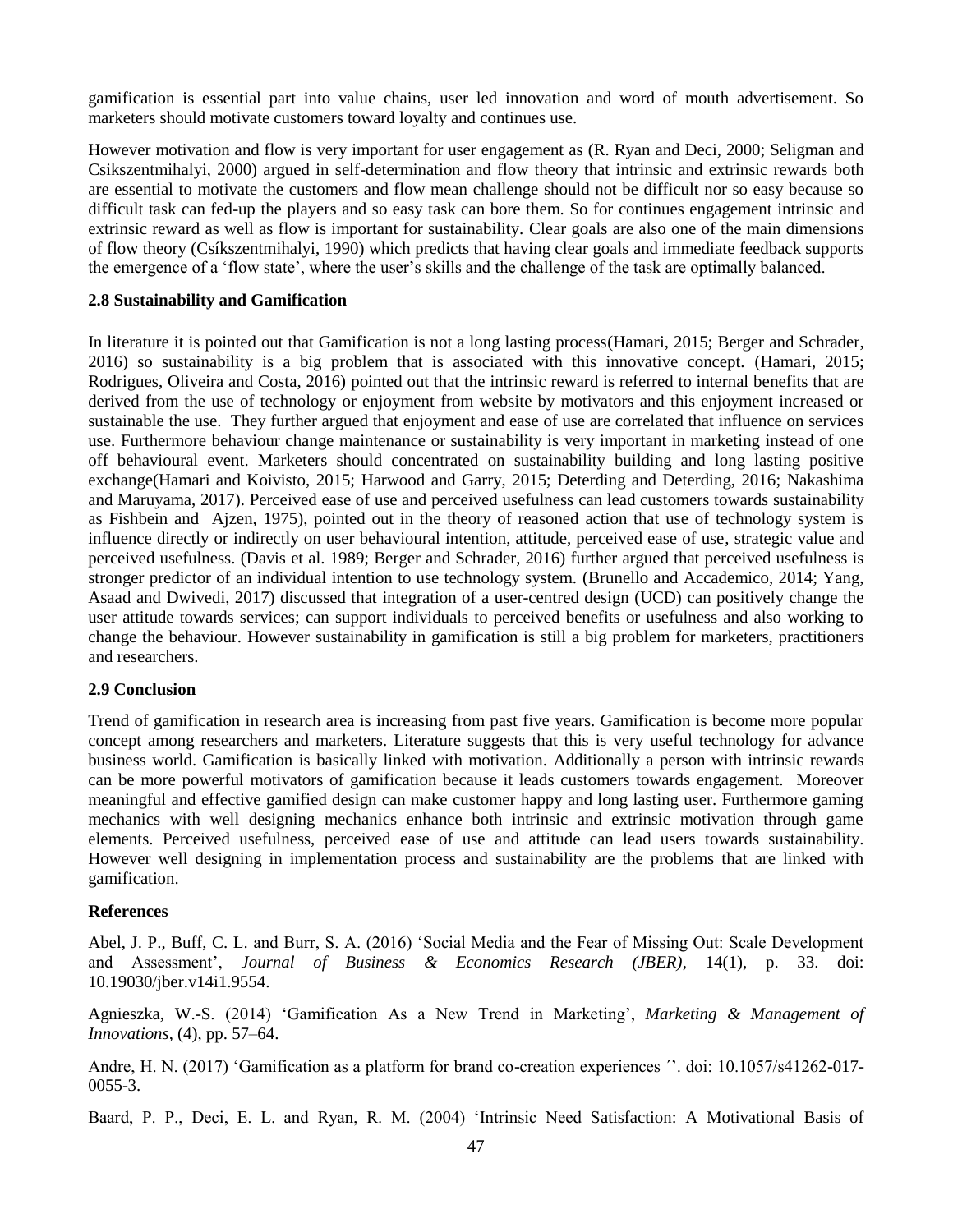gamification is essential part into value chains, user led innovation and word of mouth advertisement. So marketers should motivate customers toward loyalty and continues use.

However motivation and flow is very important for user engagement as (R. Ryan and Deci, 2000; Seligman and Csikszentmihalyi, 2000) argued in self-determination and flow theory that intrinsic and extrinsic rewards both are essential to motivate the customers and flow mean challenge should not be difficult nor so easy because so difficult task can fed-up the players and so easy task can bore them. So for continues engagement intrinsic and extrinsic reward as well as flow is important for sustainability. Clear goals are also one of the main dimensions of flow theory (Csíkszentmihalyi, 1990) which predicts that having clear goals and immediate feedback supports the emergence of a "flow state", where the user"s skills and the challenge of the task are optimally balanced.

## **2.8 Sustainability and Gamification**

In literature it is pointed out that Gamification is not a long lasting process(Hamari, 2015; Berger and Schrader, 2016) so sustainability is a big problem that is associated with this innovative concept. (Hamari, 2015; Rodrigues, Oliveira and Costa, 2016) pointed out that the intrinsic reward is referred to internal benefits that are derived from the use of technology or enjoyment from website by motivators and this enjoyment increased or sustainable the use. They further argued that enjoyment and ease of use are correlated that influence on services use. Furthermore behaviour change maintenance or sustainability is very important in marketing instead of one off behavioural event. Marketers should concentrated on sustainability building and long lasting positive exchange(Hamari and Koivisto, 2015; Harwood and Garry, 2015; Deterding and Deterding, 2016; Nakashima and Maruyama, 2017). Perceived ease of use and perceived usefulness can lead customers towards sustainability as Fishbein and Ajzen, 1975), pointed out in the theory of reasoned action that use of technology system is influence directly or indirectly on user behavioural intention, attitude, perceived ease of use, strategic value and perceived usefulness. (Davis et al. 1989; Berger and Schrader, 2016) further argued that perceived usefulness is stronger predictor of an individual intention to use technology system. (Brunello and Accademico, 2014; Yang, Asaad and Dwivedi, 2017) discussed that integration of a user-centred design (UCD) can positively change the user attitude towards services; can support individuals to perceived benefits or usefulness and also working to change the behaviour. However sustainability in gamification is still a big problem for marketers, practitioners and researchers.

## **2.9 Conclusion**

Trend of gamification in research area is increasing from past five years. Gamification is become more popular concept among researchers and marketers. Literature suggests that this is very useful technology for advance business world. Gamification is basically linked with motivation. Additionally a person with intrinsic rewards can be more powerful motivators of gamification because it leads customers towards engagement. Moreover meaningful and effective gamified design can make customer happy and long lasting user. Furthermore gaming mechanics with well designing mechanics enhance both intrinsic and extrinsic motivation through game elements. Perceived usefulness, perceived ease of use and attitude can lead users towards sustainability. However well designing in implementation process and sustainability are the problems that are linked with gamification.

## **References**

Abel, J. P., Buff, C. L. and Burr, S. A. (2016) "Social Media and the Fear of Missing Out: Scale Development and Assessment", *Journal of Business & Economics Research (JBER)*, 14(1), p. 33. doi: 10.19030/jber.v14i1.9554.

Agnieszka, W.-S. (2014) "Gamification As a New Trend in Marketing", *Marketing & Management of Innovations*, (4), pp. 57–64.

Andre, H. N. (2017) 'Gamification as a platform for brand co-creation experiences  $\cdot$ '. doi: 10.1057/s41262-017-0055-3.

Baard, P. P., Deci, E. L. and Ryan, R. M. (2004) "Intrinsic Need Satisfaction: A Motivational Basis of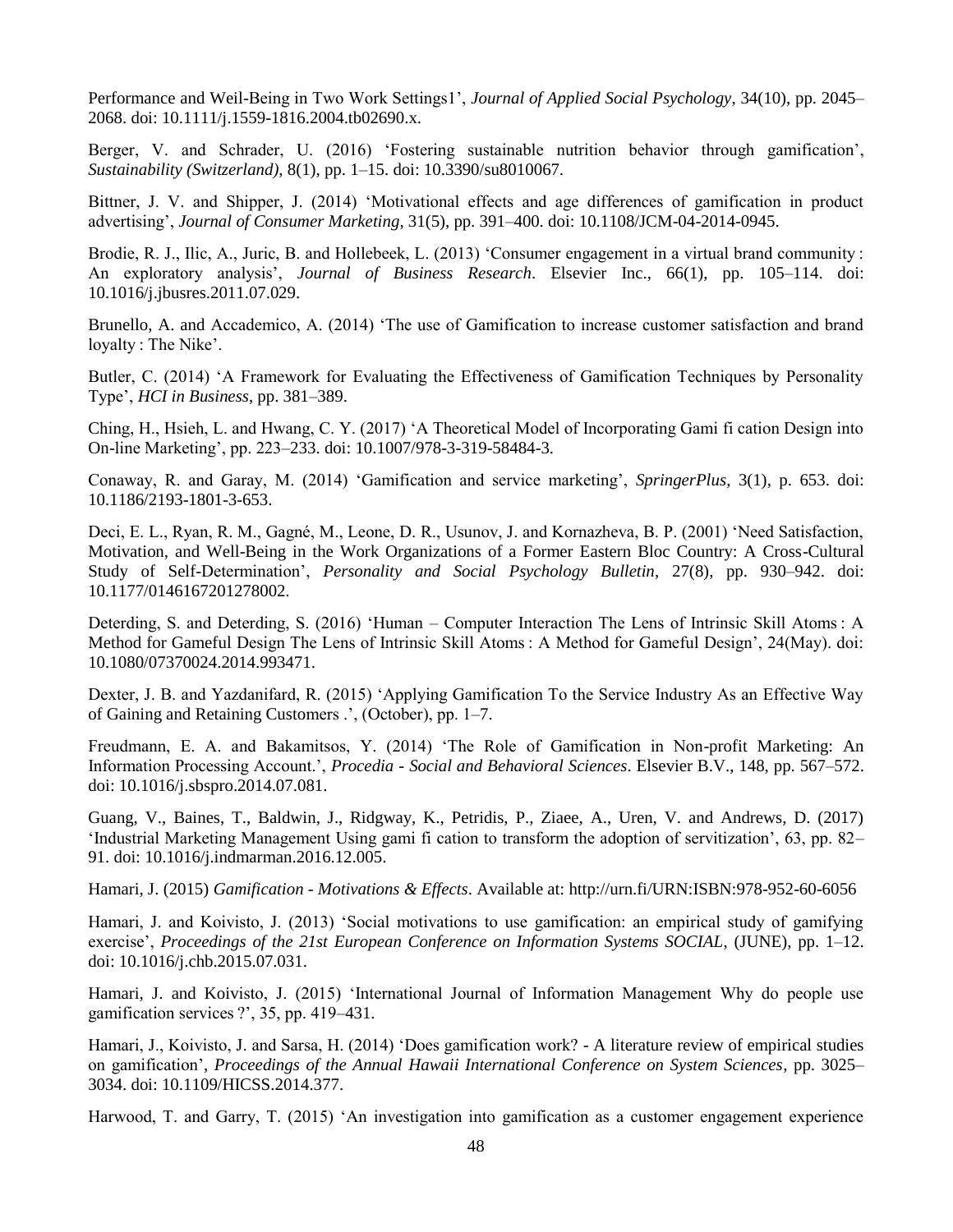Performance and Weil-Being in Two Work Settings1", *Journal of Applied Social Psychology*, 34(10), pp. 2045– 2068. doi: 10.1111/j.1559-1816.2004.tb02690.x.

Berger, V. and Schrader, U. (2016) "Fostering sustainable nutrition behavior through gamification", *Sustainability (Switzerland)*, 8(1), pp. 1–15. doi: 10.3390/su8010067.

Bittner, J. V. and Shipper, J. (2014) "Motivational effects and age differences of gamification in product advertising", *Journal of Consumer Marketing*, 31(5), pp. 391–400. doi: 10.1108/JCM-04-2014-0945.

Brodie, R. J., Ilic, A., Juric, B. and Hollebeek, L. (2013) 'Consumer engagement in a virtual brand community : An exploratory analysis', *Journal of Business Research*. Elsevier Inc., 66(1), pp. 105–114. doi: 10.1016/j.jbusres.2011.07.029.

Brunello, A. and Accademico, A. (2014) "The use of Gamification to increase customer satisfaction and brand loyalty : The Nike'.

Butler, C. (2014) "A Framework for Evaluating the Effectiveness of Gamification Techniques by Personality Type", *HCI in Business*, pp. 381–389.

Ching, H., Hsieh, L. and Hwang, C. Y. (2017) "A Theoretical Model of Incorporating Gami fi cation Design into On-line Marketing", pp. 223–233. doi: 10.1007/978-3-319-58484-3.

Conaway, R. and Garay, M. (2014) "Gamification and service marketing", *SpringerPlus*, 3(1), p. 653. doi: 10.1186/2193-1801-3-653.

Deci, E. L., Ryan, R. M., Gagné, M., Leone, D. R., Usunov, J. and Kornazheva, B. P. (2001) "Need Satisfaction, Motivation, and Well-Being in the Work Organizations of a Former Eastern Bloc Country: A Cross-Cultural Study of Self-Determination", *Personality and Social Psychology Bulletin*, 27(8), pp. 930–942. doi: 10.1177/0146167201278002.

Deterding, S. and Deterding, S. (2016) "Human – Computer Interaction The Lens of Intrinsic Skill Atoms : A Method for Gameful Design The Lens of Intrinsic Skill Atoms : A Method for Gameful Design", 24(May). doi: 10.1080/07370024.2014.993471.

Dexter, J. B. and Yazdanifard, R. (2015) "Applying Gamification To the Service Industry As an Effective Way of Gaining and Retaining Customers .", (October), pp. 1–7.

Freudmann, E. A. and Bakamitsos, Y. (2014) "The Role of Gamification in Non-profit Marketing: An Information Processing Account.", *Procedia - Social and Behavioral Sciences*. Elsevier B.V., 148, pp. 567–572. doi: 10.1016/j.sbspro.2014.07.081.

Guang, V., Baines, T., Baldwin, J., Ridgway, K., Petridis, P., Ziaee, A., Uren, V. and Andrews, D. (2017) "Industrial Marketing Management Using gami fi cation to transform the adoption of servitization", 63, pp. 82– 91. doi: 10.1016/j.indmarman.2016.12.005.

Hamari, J. (2015) *Gamification - Motivations & Effects*. Available at: http://urn.fi/URN:ISBN:978-952-60-6056

Hamari, J. and Koivisto, J. (2013) "Social motivations to use gamification: an empirical study of gamifying exercise', *Proceedings of the 21st European Conference on Information Systems SOCIAL*, (JUNE), pp. 1-12. doi: 10.1016/j.chb.2015.07.031.

Hamari, J. and Koivisto, J. (2015) "International Journal of Information Management Why do people use gamification services ?", 35, pp. 419–431.

Hamari, J., Koivisto, J. and Sarsa, H. (2014) "Does gamification work? - A literature review of empirical studies on gamification", *Proceedings of the Annual Hawaii International Conference on System Sciences*, pp. 3025– 3034. doi: 10.1109/HICSS.2014.377.

Harwood, T. and Garry, T. (2015) "An investigation into gamification as a customer engagement experience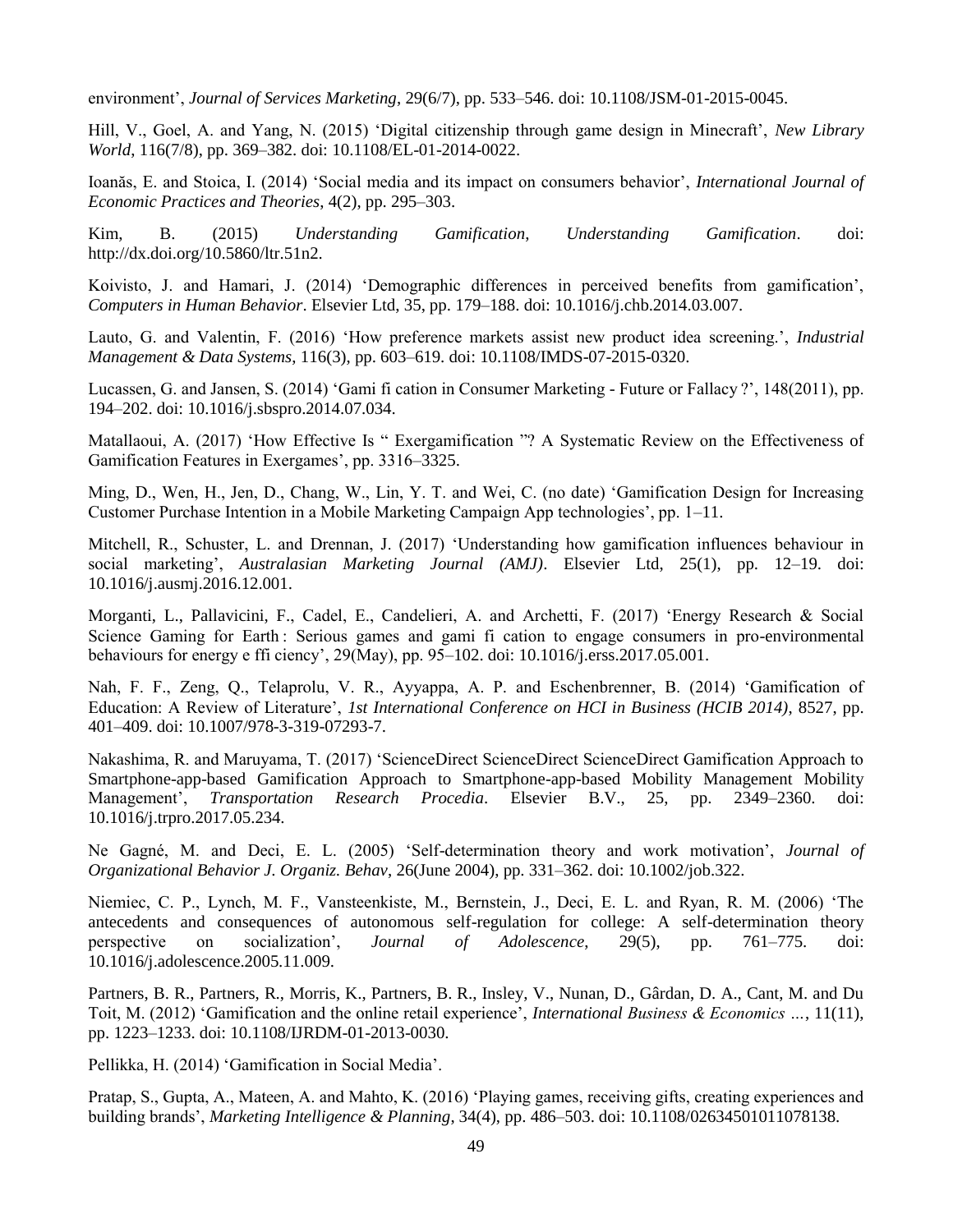environment", *Journal of Services Marketing*, 29(6/7), pp. 533–546. doi: 10.1108/JSM-01-2015-0045.

Hill, V., Goel, A. and Yang, N. (2015) 'Digital citizenship through game design in Minecraft', *New Library World*, 116(7/8), pp. 369–382. doi: 10.1108/EL-01-2014-0022.

Ioanăs, E. and Stoica, I. (2014) "Social media and its impact on consumers behavior", *International Journal of Economic Practices and Theories*, 4(2), pp. 295–303.

Kim, B. (2015) *Understanding Gamification*, *Understanding Gamification*. doi: http://dx.doi.org/10.5860/ltr.51n2.

Koivisto, J. and Hamari, J. (2014) "Demographic differences in perceived benefits from gamification", *Computers in Human Behavior*. Elsevier Ltd, 35, pp. 179–188. doi: 10.1016/j.chb.2014.03.007.

Lauto, G. and Valentin, F. (2016) "How preference markets assist new product idea screening.", *Industrial Management & Data Systems*, 116(3), pp. 603–619. doi: 10.1108/IMDS-07-2015-0320.

Lucassen, G. and Jansen, S. (2014) "Gami fi cation in Consumer Marketing - Future or Fallacy ?", 148(2011), pp. 194–202. doi: 10.1016/j.sbspro.2014.07.034.

Matallaoui, A. (2017) "How Effective Is " Exergamification "? A Systematic Review on the Effectiveness of Gamification Features in Exergames', pp. 3316–3325.

Ming, D., Wen, H., Jen, D., Chang, W., Lin, Y. T. and Wei, C. (no date) "Gamification Design for Increasing Customer Purchase Intention in a Mobile Marketing Campaign App technologies", pp. 1–11.

Mitchell, R., Schuster, L. and Drennan, J. (2017) "Understanding how gamification influences behaviour in social marketing', Australasian Marketing Journal (AMJ). Elsevier Ltd, 25(1), pp. 12-19. doi: 10.1016/j.ausmj.2016.12.001.

Morganti, L., Pallavicini, F., Cadel, E., Candelieri, A. and Archetti, F. (2017) "Energy Research & Social Science Gaming for Earth : Serious games and gami fi cation to engage consumers in pro-environmental behaviours for energy e ffi ciency", 29(May), pp. 95–102. doi: 10.1016/j.erss.2017.05.001.

Nah, F. F., Zeng, Q., Telaprolu, V. R., Ayyappa, A. P. and Eschenbrenner, B. (2014) "Gamification of Education: A Review of Literature", *1st International Conference on HCI in Business (HCIB 2014)*, 8527, pp. 401–409. doi: 10.1007/978-3-319-07293-7.

Nakashima, R. and Maruyama, T. (2017) "ScienceDirect ScienceDirect ScienceDirect Gamification Approach to Smartphone-app-based Gamification Approach to Smartphone-app-based Mobility Management Mobility Management", *Transportation Research Procedia*. Elsevier B.V., 25, pp. 2349–2360. doi: 10.1016/j.trpro.2017.05.234.

Ne Gagné, M. and Deci, E. L. (2005) "Self-determination theory and work motivation", *Journal of Organizational Behavior J. Organiz. Behav*, 26(June 2004), pp. 331–362. doi: 10.1002/job.322.

Niemiec, C. P., Lynch, M. F., Vansteenkiste, M., Bernstein, J., Deci, E. L. and Ryan, R. M. (2006) "The antecedents and consequences of autonomous self-regulation for college: A self-determination theory perspective on socialization", *Journal of Adolescence*, 29(5), pp. 761–775. doi: 10.1016/j.adolescence.2005.11.009.

Partners, B. R., Partners, R., Morris, K., Partners, B. R., Insley, V., Nunan, D., Gârdan, D. A., Cant, M. and Du Toit, M. (2012) "Gamification and the online retail experience", *International Business & Economics …*, 11(11), pp. 1223–1233. doi: 10.1108/IJRDM-01-2013-0030.

Pellikka, H. (2014) "Gamification in Social Media".

Pratap, S., Gupta, A., Mateen, A. and Mahto, K. (2016) "Playing games, receiving gifts, creating experiences and building brands", *Marketing Intelligence & Planning*, 34(4), pp. 486–503. doi: 10.1108/02634501011078138.